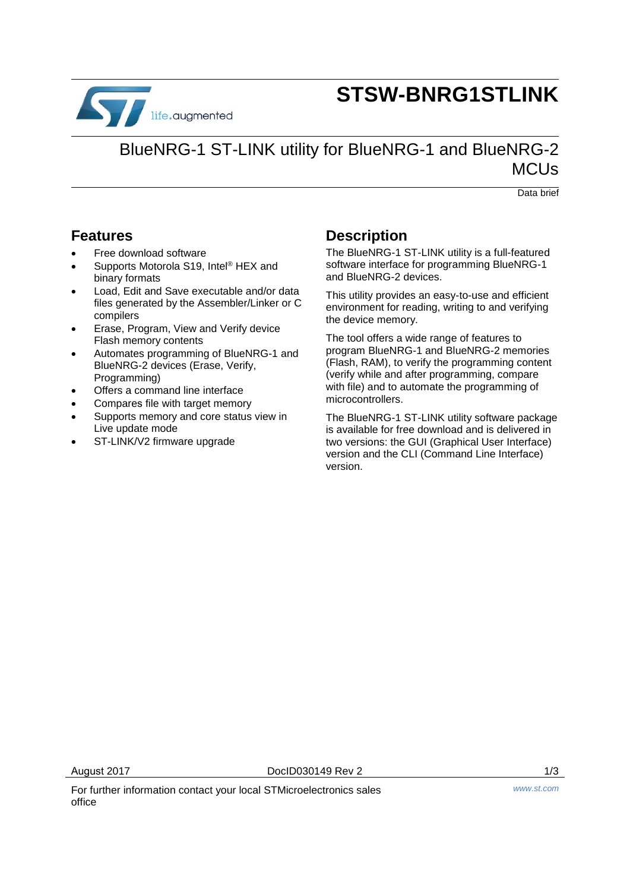

# **STSW-BNRG1STLINK**

## BlueNRG-1 ST-LINK utility for BlueNRG-1 and BlueNRG-2 **MCUs**

Data brief

### **Features**

- Free download software
- Supports Motorola S19, Intel® HEX and binary formats
- Load, Edit and Save executable and/or data files generated by the Assembler/Linker or C compilers
- Erase, Program, View and Verify device Flash memory contents
- Automates programming of BlueNRG-1 and BlueNRG-2 devices (Erase, Verify, Programming)
- Offers a command line interface
- Compares file with target memory
- Supports memory and core status view in Live update mode
- ST-LINK/V2 firmware upgrade

### **Description**

The BlueNRG-1 ST-LINK utility is a full-featured software interface for programming BlueNRG-1 and BlueNRG-2 devices.

This utility provides an easy-to-use and efficient environment for reading, writing to and verifying the device memory.

The tool offers a wide range of features to program BlueNRG-1 and BlueNRG-2 memories (Flash, RAM), to verify the programming content (verify while and after programming, compare with file) and to automate the programming of microcontrollers.

The BlueNRG-1 ST-LINK utility software package is available for free download and is delivered in two versions: the GUI (Graphical User Interface) version and the CLI (Command Line Interface) version.

For further information contact your local STMicroelectronics sales office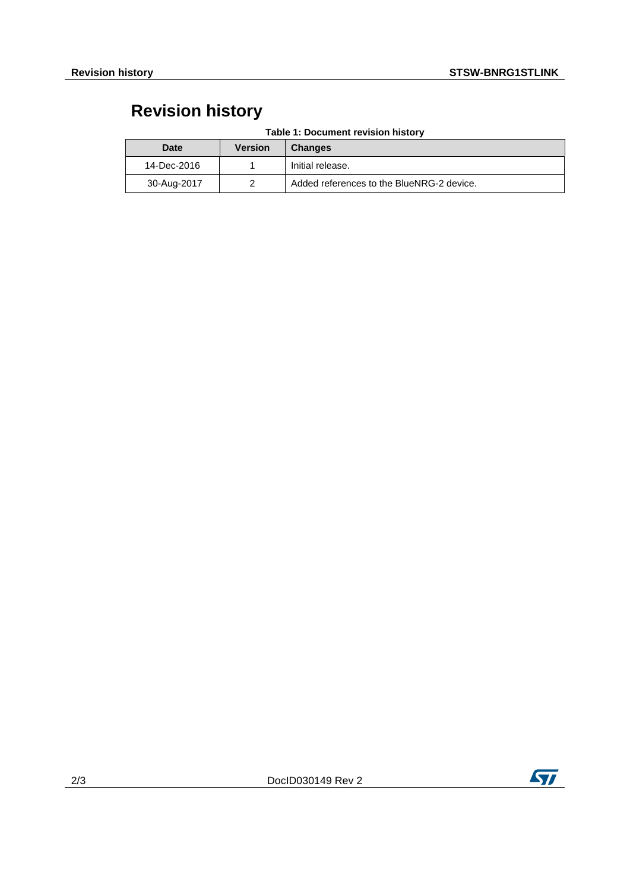## **Revision history**

| <b>Date</b> | <b>Version</b> | <b>Changes</b>                            |
|-------------|----------------|-------------------------------------------|
| 14-Dec-2016 |                | Initial release.                          |
| 30-Aug-2017 |                | Added references to the BlueNRG-2 device. |

#### **Table 1: Document revision history**